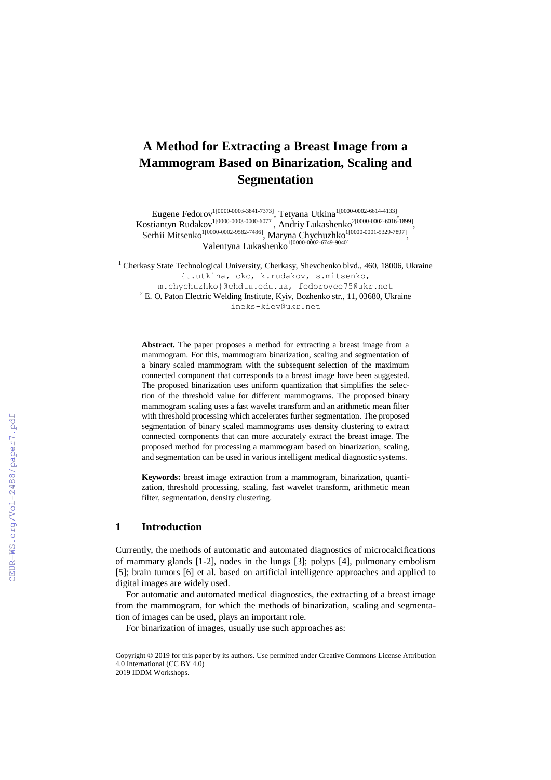# **A Method for Extracting a Breast Image from a Mammogram Based on Binarization, Scaling and Segmentation**

Eugene Fedorov<sup>1[0000-0003-3841-7373]</sup>, Tetyana Utkina<sup>1</sup><sup>[0000-0002-6614-4133]</sup>, Kostiantyn Rudakov<sup>1[0000-0003-0000-6077]</sup>, Andriy Lukashenko<sup>2[0000-0002-6016-1899]</sup>, Serhii Mitsenko<sup>1[0000-0002-9582-7486]</sup>, Maryna Chychuzhko<sup>1[0000-0001-5329-7897]</sup>, Valentyna Lukashenko<sup>1[0000-0002-6749-9040]</sup>

<sup>1</sup> Cherkasy State Technological University, Cherkasy, Shevchenko blvd., 460, 18006, Ukraine {t[.utkina,](mailto:utkina) ckc, k.rudakov, [s.mitsenko,](mailto:s.mitsenko,%20m.chychuzhko%7D@) [m.chychuzhko}@c](mailto:s.mitsenko,%20m.chychuzhko%7D@)hdtu.edu.ua, fedorovee75@ukr.net  $^{2}$  E. O. Paton Electric Welding Institute, Kyiv, Bozhenko str., 11, 03680, Ukraine ineks-kiev@ukr.net

**Abstract.** The paper proposes a method for extracting a breast image from a mammogram. For this, mammogram binarization, scaling and segmentation of a binary scaled mammogram with the subsequent selection of the maximum connected component that corresponds to a breast image have been suggested. The proposed binarization uses uniform quantization that simplifies the selection of the threshold value for different mammograms. The proposed binary mammogram scaling uses a fast wavelet transform and an arithmetic mean filter with threshold processing which accelerates further segmentation. The proposed segmentation of binary scaled mammograms uses density clustering to extract connected components that can more accurately extract the breast image. The proposed method for processing a mammogram based on binarization, scaling, and segmentation can be used in various intelligent medical diagnostic systems.

**Keywords:** breast image extraction from a mammogram, binarization, quantization, threshold processing, scaling, fast wavelet transform, arithmetic mean filter, segmentation, density clustering.

### **1 Introduction**

Currently, the methods of automatic and automated diagnostics of microcalcifications of mammary glands [1-2], nodes in the lungs [3]; polyps [4], pulmonary embolism [5]; brain tumors [6] et al. based on artificial intelligence approaches and applied to digital images are widely used.

For automatic and automated medical diagnostics, the extracting of a breast image from the mammogram, for which the methods of binarization, scaling and segmentation of images can be used, plays an important role.

For binarization of images, usually use such approaches as:

Copyright © 2019 for this paper by its authors. Use permitted under Creative Commons License Attribution 4.0 International (CC BY 4.0) 2019 IDDM Workshops.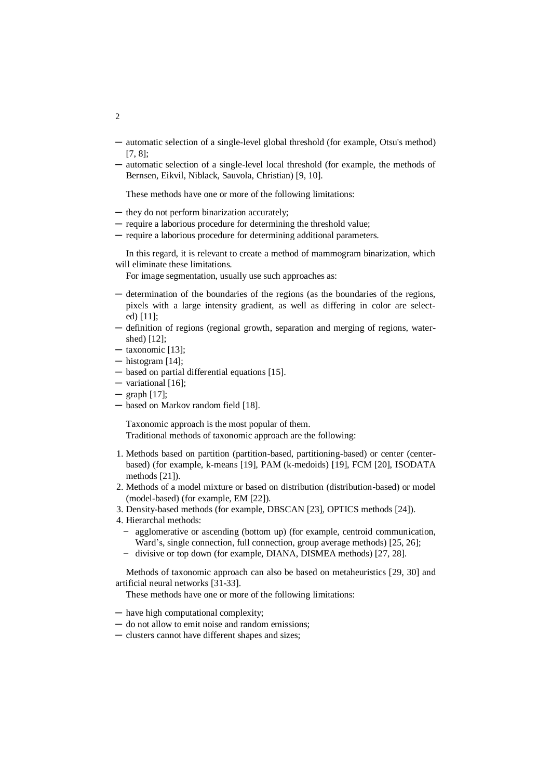- ─ automatic selection of a single-level global threshold (for example, Otsu's method) [7, 8];
- ─ automatic selection of a single-level local threshold (for example, the methods of Bernsen, Eikvil, Niblack, Sauvola, Christian) [9, 10].

These methods have one or more of the following limitations:

- ─ they do not perform binarization accurately;
- ─ require a laborious procedure for determining the threshold value;
- ─ require a laborious procedure for determining additional parameters.

In this regard, it is relevant to create a method of mammogram binarization, which will eliminate these limitations.

For image segmentation, usually use such approaches as:

- ─ determination of the boundaries of the regions (as the boundaries of the regions, pixels with a large intensity gradient, as well as differing in color are selected) [11];
- ─ definition of regions (regional growth, separation and merging of regions, watershed) [12];
- $-$  taxonomic [13];
- $-$  histogram [14];
- ─ based on partial differential equations [15].
- ─ variational [16];
- $-$  graph  $[17]$ ;
- ─ based on Markov random field [18].

Taxonomic approach is the most popular of them. Traditional methods of taxonomic approach are the following:

- 1. Methods based on partition (partition-based, partitioning-based) or center (centerbased) (for example, k-means [19], PAM (k-medoids) [19], FCM [20], ISODATA methods [21]).
- 2. Methods of a model mixture or based on distribution (distribution-based) or model (model-based) (for example, EM [22]).
- 3. Density-based methods (for example, DBSCAN [23], OPTICS methods [24]).
- 4. Hierarchal methods:
	- agglomerative or ascending (bottom up) (for example, centroid communication, Ward's, single connection, full connection, group average methods) [25, 26];
	- divisive or top down (for example, DIANA, DISMEA methods) [27, 28].

Methods of taxonomic approach can also be based on metaheuristics [29, 30] and artificial neural networks [31-33].

These methods have one or more of the following limitations:

- ─ have high computational complexity;
- ─ do not allow to emit noise and random emissions;
- ─ clusters cannot have different shapes and sizes;

2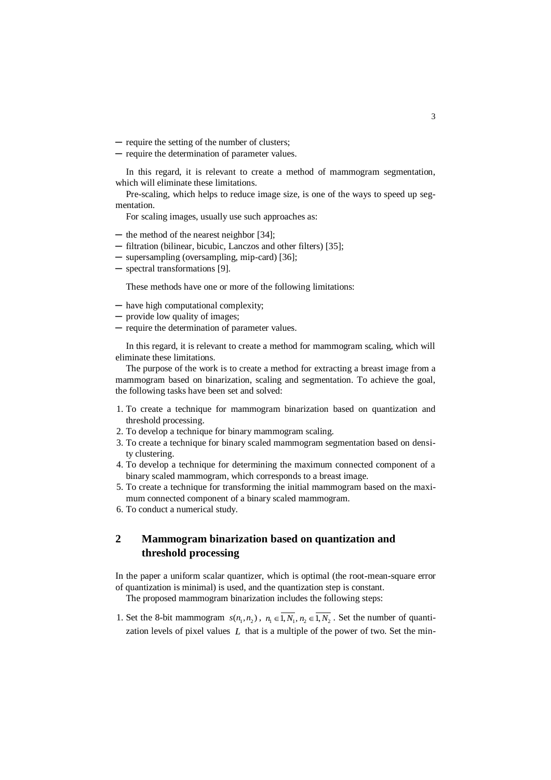─ require the setting of the number of clusters;

─ require the determination of parameter values.

In this regard, it is relevant to create a method of mammogram segmentation, which will eliminate these limitations.

Pre-scaling, which helps to reduce image size, is one of the ways to speed up segmentation.

For scaling images, usually use such approaches as:

- ─ the method of the nearest neighbor [34];
- ─ filtration (bilinear, bicubic, Lanczos and other filters) [35];
- ─ supersampling (oversampling, mip-card) [36];
- ─ spectral transformations [9].

These methods have one or more of the following limitations:

- ─ have high computational complexity;
- ─ provide low quality of images;
- ─ require the determination of parameter values.

In this regard, it is relevant to create a method for mammogram scaling, which will eliminate these limitations.

The purpose of the work is to create a method for extracting a breast image from a mammogram based on binarization, scaling and segmentation. To achieve the goal, the following tasks have been set and solved:

- 1. To create a technique for mammogram binarization based on quantization and threshold processing.
- 2. To develop a technique for binary mammogram scaling.
- 3. To create a technique for binary scaled mammogram segmentation based on density clustering.
- 4. To develop a technique for determining the maximum connected component of a binary scaled mammogram, which corresponds to a breast image.
- 5. To create a technique for transforming the initial mammogram based on the maximum connected component of a binary scaled mammogram.
- 6. To conduct a numerical study.

## **2 Mammogram binarization based on quantization and threshold processing**

In the paper a uniform scalar quantizer, which is optimal (the root-mean-square error of quantization is minimal) is used, and the quantization step is constant.

The proposed mammogram binarization includes the following steps:

1. Set the 8-bit mammogram  $s(n_1, n_2)$ ,  $n_1 \in \overline{1, N_1}$ ,  $n_2 \in \overline{1, N_2}$ . Set the number of quantization levels of pixel values  $L$  that is a multiple of the power of two. Set the min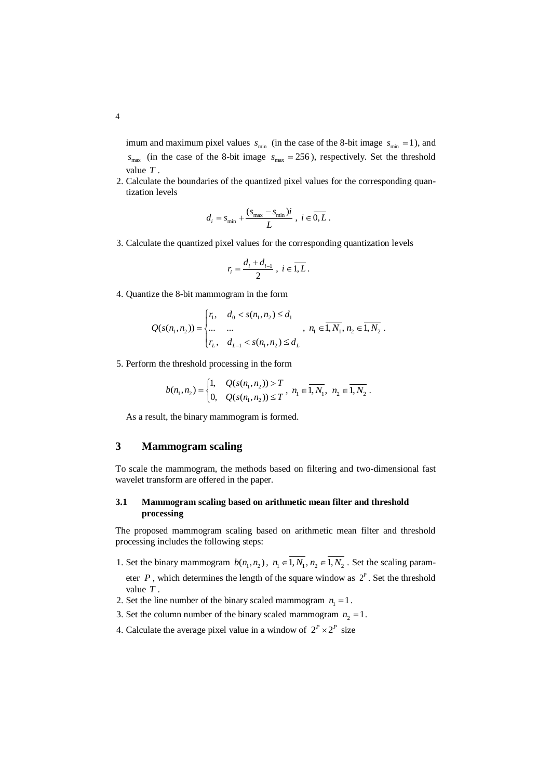imum and maximum pixel values  $s_{\text{min}}$  (in the case of the 8-bit image  $s_{\text{min}} = 1$ ), and  $s_{\text{max}}$  (in the case of the 8-bit image  $s_{\text{max}} = 256$ ), respectively. Set the threshold value *T* .

2. Calculate the boundaries of the quantized pixel values for the corresponding quantization levels

$$
d_i = s_{\min} + \frac{(s_{\max} - s_{\min})i}{L} , i \in \overline{0, L} .
$$

3. Calculate the quantized pixel values for the corresponding quantization levels

$$
r_i = \frac{d_i + d_{i-1}}{2}, \ i \in \overline{1, L}.
$$

4. Quantize the 8-bit mammogram in the form

$$
Q(s(n_1, n_2)) = \begin{cases} r_1, & d_0 < s(n_1, n_2) \le d_1 \\ \dots & \dots \\ r_L, & d_{L-1} < s(n_1, n_2) \le d_L \end{cases}, n_1 \in \overline{1, N_1}, n_2 \in \overline{1, N_2}.
$$

5. Perform the threshold processing in the form

$$
b(n_1, n_2) = \begin{cases} 1, & Q(s(n_1, n_2)) > T \\ 0, & Q(s(n_1, n_2)) \le T \end{cases}, n_1 \in \overline{1, N_1}, n_2 \in \overline{1, N_2}.
$$

As a result, the binary mammogram is formed.

### **3 Mammogram scaling**

To scale the mammogram, the methods based on filtering and two-dimensional fast wavelet transform are offered in the paper.

### **3.1 Mammogram scaling based on arithmetic mean filter and threshold processing**

The proposed mammogram scaling based on arithmetic mean filter and threshold processing includes the following steps:

- 1. Set the binary mammogram  $b(n_1, n_2)$ ,  $n_1 \in \overline{1, N_1}$ ,  $n_2 \in \overline{1, N_2}$ . Set the scaling parameter  $P$ , which determines the length of the square window as  $2^P$ . Set the threshold
- value *T* . 2. Set the line number of the binary scaled mammogram  $n_1 = 1$ .
- 3. Set the column number of the binary scaled mammogram  $n_2 = 1$ .
- 4. Calculate the average pixel value in a window of  $2^P \times 2^P$  size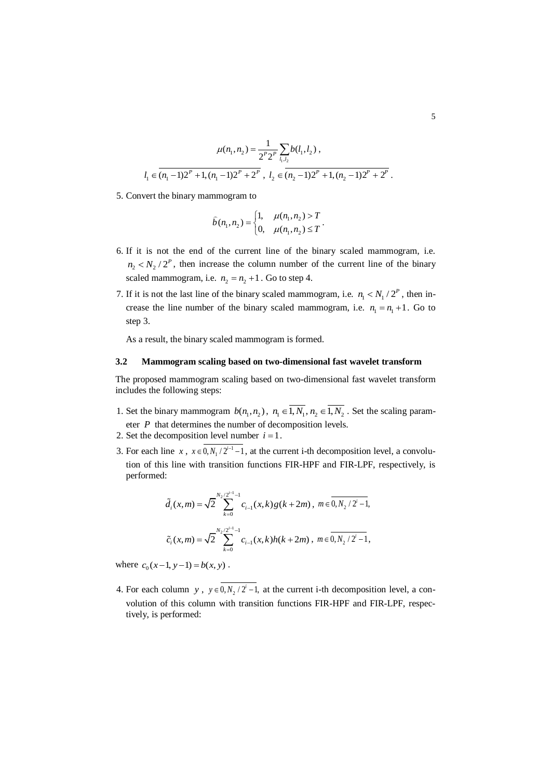$$
\mu(n_1, n_2) = \frac{1}{2^P 2^P} \sum_{l_1, l_2} b(l_1, l_2) ,
$$
  

$$
l_1 \in (n_1 - 1) 2^P + 1, (n_1 - 1) 2^P + 2^P , l_2 \in (n_2 - 1) 2^P + 1, (n_2 - 1) 2^P + 2^P .
$$

5. Convert the binary mammogram to

$$
\hat{b}(n_1, n_2) = \begin{cases} 1, & \mu(n_1, n_2) > T \\ 0, & \mu(n_1, n_2) \le T \end{cases}.
$$

- 6. If it is not the end of the current line of the binary scaled mammogram, i.e.  $n_2 < N_2 / 2^P$ , then increase the column number of the current line of the binary scaled mammogram, i.e.  $n_2 = n_2 + 1$ . Go to step 4.
- 7. If it is not the last line of the binary scaled mammogram, i.e.  $n_1 < N_1 / 2^P$ , then increase the line number of the binary scaled mammogram, i.e.  $n_1 = n_1 + 1$ . Go to step 3.

As a result, the binary scaled mammogram is formed.

#### **3.2 Mammogram scaling based on two-dimensional fast wavelet transform**

The proposed mammogram scaling based on two-dimensional fast wavelet transform includes the following steps:

- 1. Set the binary mammogram  $b(n_1, n_2)$ ,  $n_1 \in \overline{1, N_1}$ ,  $n_2 \in \overline{1, N_2}$ . Set the scaling parameter  $P$  that determines the number of decomposition levels.
- 2. Set the decomposition level number  $i = 1$ .
- 3. For each line  $x$ ,  $x \in 0, N_1/2^{i-1}-1$ , at the current i-th decomposition level, a convolution of this line with transition functions FIR-HPF and FIR-LPF, respectively, is performed:

$$
\tilde{d}_{i}(x,m) = \sqrt{2} \sum_{k=0}^{N_2/2^{i-1}-1} c_{i-1}(x,k) g(k+2m), \ m \in \overline{0,N_2/2^{i-1}},
$$
  

$$
\tilde{c}_{i}(x,m) = \sqrt{2} \sum_{k=0}^{N_2/2^{i-1}-1} c_{i-1}(x,k) h(k+2m), \ m \in \overline{0,N_2/2^{i}-1},
$$

where  $c_0(x-1, y-1) = b(x, y)$ .

4. For each column y,  $y \in 0, N_2 / 2^i - 1$ , at the current i-th decomposition level, a convolution of this column with transition functions FIR-HPF and FIR-LPF, respectively, is performed: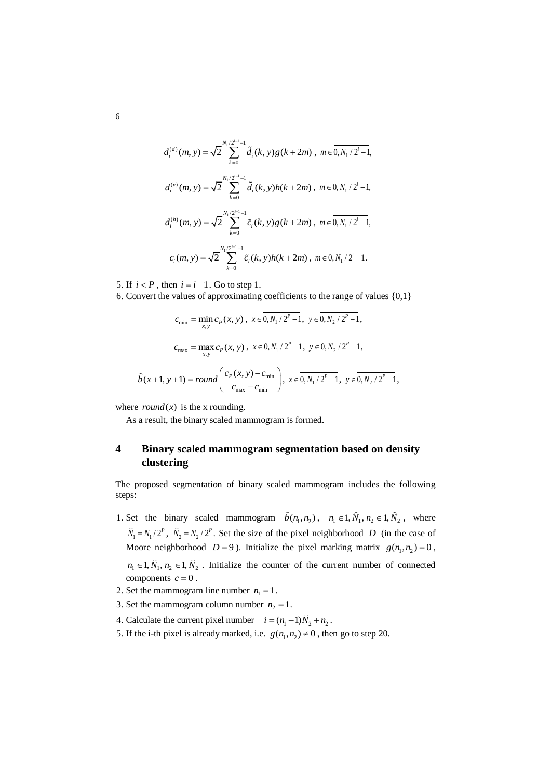$$
d_i^{(d)}(m, y) = \sqrt{2} \sum_{k=0}^{N_1/2^{i-1}-1} \tilde{d}_i(k, y) g(k+2m), \ m \in \overline{0, N_1/2^{i}-1},
$$
  

$$
d_i^{(v)}(m, y) = \sqrt{2} \sum_{k=0}^{N_1/2^{i-1}-1} \tilde{d}_i(k, y) h(k+2m), \ m \in \overline{0, N_1/2^{i}-1},
$$
  

$$
d_i^{(h)}(m, y) = \sqrt{2} \sum_{k=0}^{N_1/2^{i-1}-1} \tilde{c}_i(k, y) g(k+2m), \ m \in \overline{0, N_1/2^{i}-1},
$$
  

$$
c_i(m, y) = \sqrt{2} \sum_{k=0}^{N_1/2^{i-1}-1} \tilde{c}_i(k, y) h(k+2m), \ m \in \overline{0, N_1/2^{i}-1}.
$$

5. If  $i < P$ , then  $i = i + 1$ . Go to step 1.

6. Convert the values of approximating coefficients to the range of values {0,1}

$$
c_{\min} = \min_{x,y} c_P(x,y), \ x \in \overline{0, N_1/2^P - 1}, \ y \in \overline{0, N_2/2^P - 1},
$$
  

$$
c_{\max} = \max_{x,y} c_P(x,y), \ x \in \overline{0, N_1/2^P - 1}, \ y \in \overline{0, N_2/2^P - 1},
$$
  

$$
\hat{b}(x+1, y+1) = round\left(\frac{c_P(x,y) - c_{\min}}{c_{\max} - c_{\min}}\right), \ x \in \overline{0, N_1/2^P - 1}, \ y \in \overline{0, N_2/2^P - 1},
$$

where  $round(x)$  is the x rounding.

As a result, the binary scaled mammogram is formed.

## **4 Binary scaled mammogram segmentation based on density clustering**

The proposed segmentation of binary scaled mammogram includes the following steps:

- 1. Set the binary scaled mammogram  $\hat{b}(n_1, n_2)$ ,  $n_1 \in 1, \hat{N}_1$ ,  $n_2 \in 1, \hat{N}_2$ , where  $\hat{N}_1 = N_1 / 2^P$ ,  $\hat{N}_2 = N_2 / 2^P$ . Set the size of the pixel neighborhood *D* (in the case of Moore neighborhood  $D = 9$ ). Initialize the pixel marking matrix  $g(n_1, n_2) = 0$ ,  $n_1 \in 1, \hat{N}_1, n_2 \in 1, \hat{N}_2$ . Initialize the counter of the current number of connected components  $c = 0$ .
- 2. Set the mammogram line number  $n_1 = 1$ .
- 3. Set the mammogram column number  $n_2 = 1$ .
- 4. Calculate the current pixel number  $i = (n_1 1)\tilde{N}_2 + n_2$ .
- 5. If the i-th pixel is already marked, i.e.  $g(n_1, n_2) \neq 0$ , then go to step 20.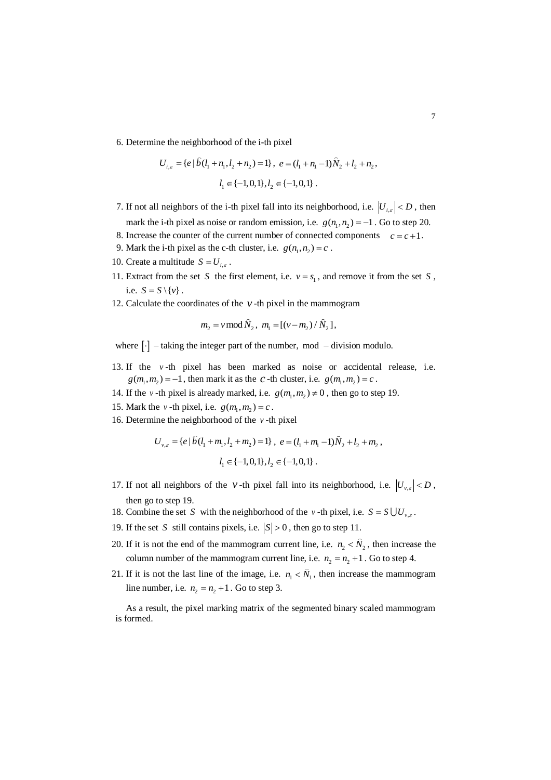6. Determine the neighborhood of the i-th pixel

$$
U_{i,\varepsilon} = \{ e \mid \hat{b}(l_1 + n_1, l_2 + n_2) = 1 \}, e = (l_1 + n_1 - 1)\hat{N}_2 + l_2 + n_2,
$$
  

$$
l_1 \in \{-1, 0, 1\}, l_2 \in \{-1, 0, 1\}.
$$

- 7. If not all neighbors of the i-th pixel fall into its neighborhood, i.e.  $|U_{i,\varepsilon}| < D$ , then mark the i-th pixel as noise or random emission, i.e.  $g(n_1, n_2) = -1$ . Go to step 20.
- 8. Increase the counter of the current number of connected components  $c = c + 1$ .
- 9. Mark the i-th pixel as the c-th cluster, i.e.  $g(n_1, n_2) = c$ .
- 10. Create a multitude  $S = U_{i,\varepsilon}$ .
- 11. Extract from the set *S* the first element, i.e.  $v = s_1$ , and remove it from the set *S*, i.e.  $S = S \setminus \{v\}$ .
- 12. Calculate the coordinates of the  $\nu$ -th pixel in the mammogram

$$
m_2 = v \mod \widehat{N}_2
$$
,  $m_1 = [(v - m_2) / \widehat{N}_2]$ ,

where  $[\cdot]$  – taking the integer part of the number, mod – division modulo.

- 13. If the *v* -th pixel has been marked as noise or accidental release, i.e.  $g(m_1, m_2) = -1$ , then mark it as the *c*-th cluster, i.e.  $g(m_1, m_2) = c$ .
- 14. If the *v*-th pixel is already marked, i.e.  $g(m_1, m_2) \neq 0$ , then go to step 19.
- 15. Mark the *v*-th pixel, i.e.  $g(m_1, m_2) = c$ .
- 16. Determine the neighborhood of the *v* -th pixel

$$
U_{v,\varepsilon} = \{e \mid \hat{b}(l_1 + m_1, l_2 + m_2) = 1\}, e = (l_1 + m_1 - 1)\hat{N}_2 + l_2 + m_2,
$$
  

$$
l_1 \in \{-1, 0, 1\}, l_2 \in \{-1, 0, 1\}.
$$

- 17. If not all neighbors of the *v*-th pixel fall into its neighborhood, i.e.  $|U_{v,\varepsilon}| < D$ , then go to step 19.
- 18. Combine the set S with the neighborhood of the *v*-th pixel, i.e.  $S = S \cup U_{v,\varepsilon}$ .
- 19. If the set S still contains pixels, i.e.  $|S| > 0$ , then go to step 11.
- 20. If it is not the end of the mammogram current line, i.e.  $n_2 < N_2$ , then increase the column number of the mammogram current line, i.e.  $n_2 = n_2 + 1$ . Go to step 4.
- 21. If it is not the last line of the image, i.e.  $n_1 < N_1$ , then increase the mammogram line number, i.e.  $n_2 = n_2 + 1$ . Go to step 3.

As a result, the pixel marking matrix of the segmented binary scaled mammogram is formed.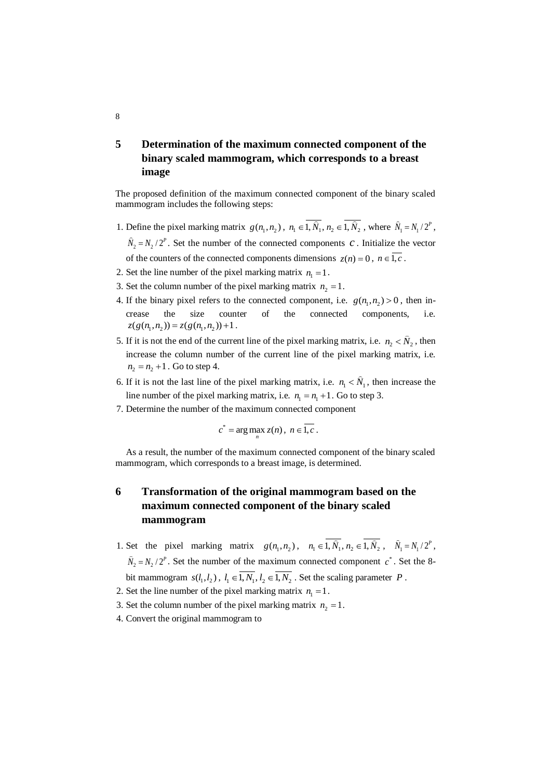# **5 Determination of the maximum connected component of the binary scaled mammogram, which corresponds to a breast image**

The proposed definition of the maximum connected component of the binary scaled mammogram includes the following steps:

- 1. Define the pixel marking matrix  $g(n_1, n_2)$ ,  $n_1 \in 1, \hat{N}_1$ ,  $n_2 \in 1, \hat{N}_2$ , where  $\hat{N}_1 = N_1/2^P$ ,  $\hat{N}_2 = N_2 / 2^P$ . Set the number of the connected components *c*. Initialize the vector of the counters of the connected components dimensions  $z(n) = 0$ ,  $n \in I, c$ .
- 2. Set the line number of the pixel marking matrix  $n_1 = 1$ .
- 3. Set the column number of the pixel marking matrix  $n_2 = 1$ .
- 4. If the binary pixel refers to the connected component, i.e.  $g(n_1, n_2) > 0$ , then increase the size counter of the connected components, i.e.  $z(g(n_1, n_2)) = z(g(n_1, n_2)) + 1$ .
- 5. If it is not the end of the current line of the pixel marking matrix, i.e.  $n_2 < N_2$ , then increase the column number of the current line of the pixel marking matrix, i.e.  $n_2 = n_2 + 1$ . Go to step 4.
- 6. If it is not the last line of the pixel marking matrix, i.e.  $n_1 < N_1$ , then increase the line number of the pixel marking matrix, i.e.  $n_1 = n_1 + 1$ . Go to step 3.
- 7. Determine the number of the maximum connected component

$$
c^* = \arg\max_n z(n), \ n \in \overline{1, c} \ .
$$

As a result, the number of the maximum connected component of the binary scaled mammogram, which corresponds to a breast image, is determined.

# **6 Transformation of the original mammogram based on the maximum connected component of the binary scaled mammogram**

- 1. Set the pixel marking matrix  $g(n_1, n_2)$ ,  $n_1 \in 1, \hat{N}_1, n_2 \in 1, \hat{N}_2$ ,  $\hat{N}_1 = N_1/2^P$ ,  $\hat{N}_2 = N_2 / 2^P$ . Set the number of the maximum connected component  $c^*$ . Set the 8bit mammogram  $s(l_1, l_2)$ ,  $l_1 \in \overline{1, N_1}$ ,  $l_2 \in \overline{1, N_2}$ . Set the scaling parameter P.
- 2. Set the line number of the pixel marking matrix  $n_1 = 1$ .
- 3. Set the column number of the pixel marking matrix  $n_2 = 1$ .
- 4. Convert the original mammogram to

#### 8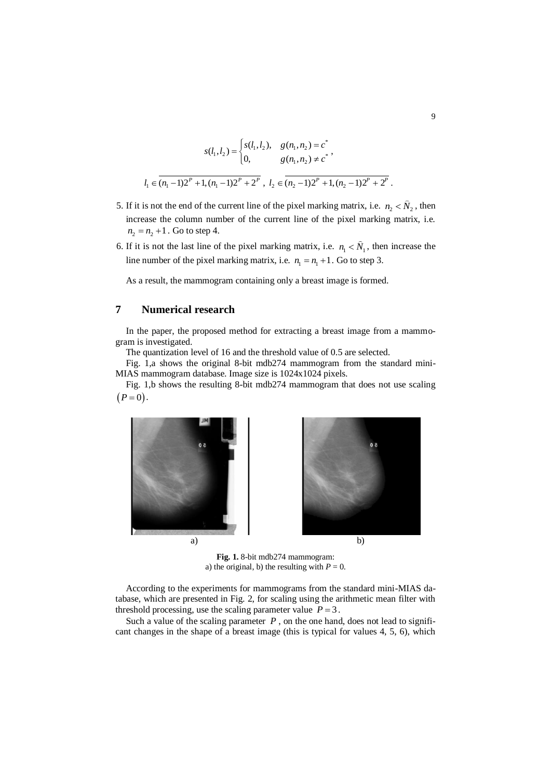$$
s(l_1, l_2) = \begin{cases} s(l_1, l_2), & g(n_1, n_2) = c^* \\ 0, & g(n_1, n_2) \neq c^* \end{cases},
$$
  

$$
l_1 \in (n_1 - 1)2^P + 1, (n_1 - 1)2^P + 2^P, l_2 \in (n_2 - 1)2^P + 1, (n_2 - 1)2^P + 2^P.
$$

- 5. If it is not the end of the current line of the pixel marking matrix, i.e.  $n_2 < \tilde{N}_2$ , then increase the column number of the current line of the pixel marking matrix, i.e.  $n_2 = n_2 + 1$ . Go to step 4.
- 6. If it is not the last line of the pixel marking matrix, i.e.  $n_1 < N_1$ , then increase the line number of the pixel marking matrix, i.e.  $n_1 = n_1 + 1$ . Go to step 3.

As a result, the mammogram containing only a breast image is formed.

### **7 Numerical research**

In the paper, the proposed method for extracting a breast image from a mammogram is investigated.

The quantization level of 16 and the threshold value of 0.5 are selected.

Fig. 1,a shows the original 8-bit mdb274 mammogram from the standard mini-MIAS mammogram database. Image size is 1024x1024 pixels.

Fig. 1,b shows the resulting 8-bit mdb274 mammogram that does not use scaling  $(P = 0)$ .



**Fig. 1.** 8-bit mdb274 mammogram: a) the original, b) the resulting with  $P = 0$ .

According to the experiments for mammograms from the standard mini-MIAS database, which are presented in Fig. 2, for scaling using the arithmetic mean filter with threshold processing, use the scaling parameter value  $P = 3$ .

Such a value of the scaling parameter  $P$ , on the one hand, does not lead to significant changes in the shape of a breast image (this is typical for values 4, 5, 6), which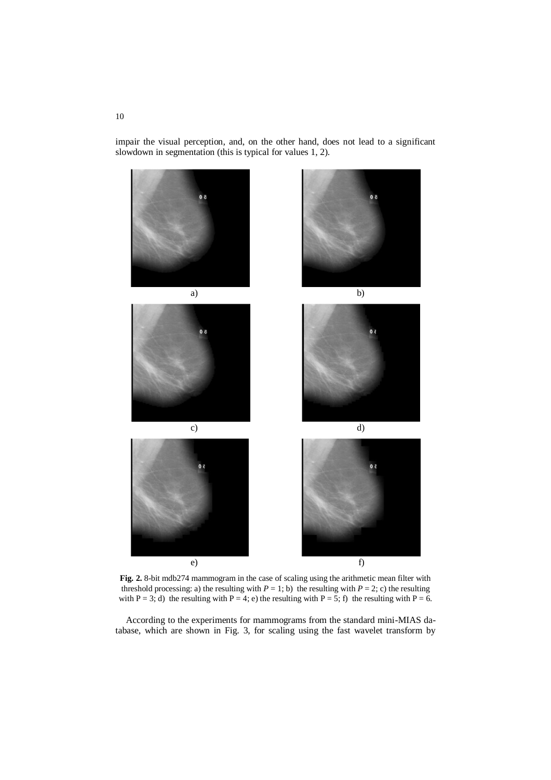impair the visual perception, and, on the other hand, does not lead to a significant slowdown in segmentation (this is typical for values 1, 2).



**Fig. 2.** 8-bit mdb274 mammogram in the case of scaling using the arithmetic mean filter with threshold processing: a) the resulting with  $P = 1$ ; b) the resulting with  $P = 2$ ; c) the resulting with P = 3; d) the resulting with P = 4; e) the resulting with P = 5; f) the resulting with P = 6.

According to the experiments for mammograms from the standard mini-MIAS database, which are shown in Fig. 3, for scaling using the fast wavelet transform by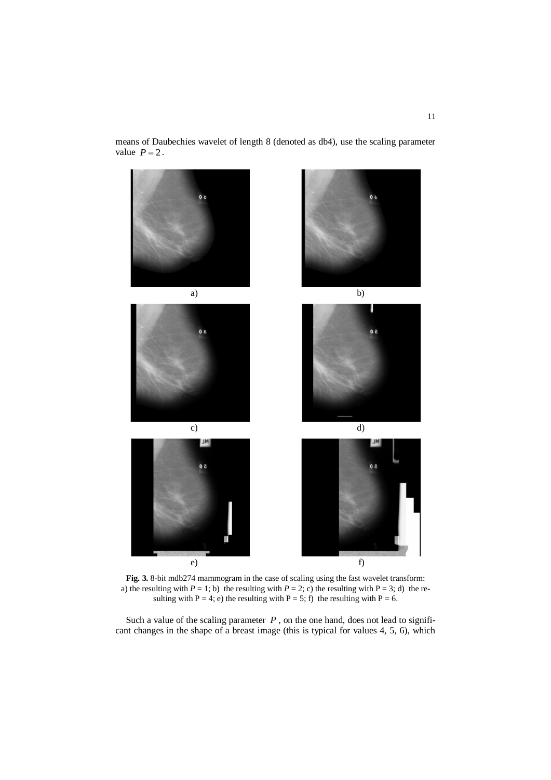means of Daubechies wavelet of length 8 (denoted as db4), use the scaling parameter value  $P = 2$ .



**Fig. 3.** 8-bit mdb274 mammogram in the case of scaling using the fast wavelet transform: a) the resulting with  $P = 1$ ; b) the resulting with  $P = 2$ ; c) the resulting with  $P = 3$ ; d) the resulting with P = 4; e) the resulting with P = 5; f) the resulting with P = 6.

Such a value of the scaling parameter *, on the one hand, does not lead to signifi*cant changes in the shape of a breast image (this is typical for values 4, 5, 6), which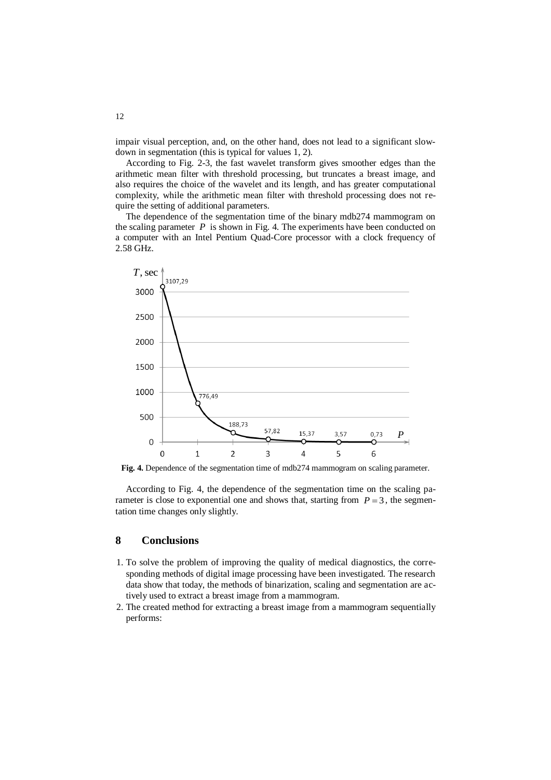impair visual perception, and, on the other hand, does not lead to a significant slowdown in segmentation (this is typical for values 1, 2).

According to Fig. 2-3, the fast wavelet transform gives smoother edges than the arithmetic mean filter with threshold processing, but truncates a breast image, and also requires the choice of the wavelet and its length, and has greater computational complexity, while the arithmetic mean filter with threshold processing does not require the setting of additional parameters.

The dependence of the segmentation time of the binary mdb274 mammogram on the scaling parameter  $P$  is shown in Fig. 4. The experiments have been conducted on a computer with an Intel Pentium Quad-Core processor with a clock frequency of 2.58 GHz.



Fig. 4. Dependence of the segmentation time of mdb274 mammogram on scaling parameter.

According to Fig. 4, the dependence of the segmentation time on the scaling parameter is close to exponential one and shows that, starting from  $P = 3$ , the segmentation time changes only slightly.

### **8 Conclusions**

- 1. To solve the problem of improving the quality of medical diagnostics, the corresponding methods of digital image processing have been investigated. The research data show that today, the methods of binarization, scaling and segmentation are actively used to extract a breast image from a mammogram.
- 2. The created method for extracting a breast image from a mammogram sequentially performs:

12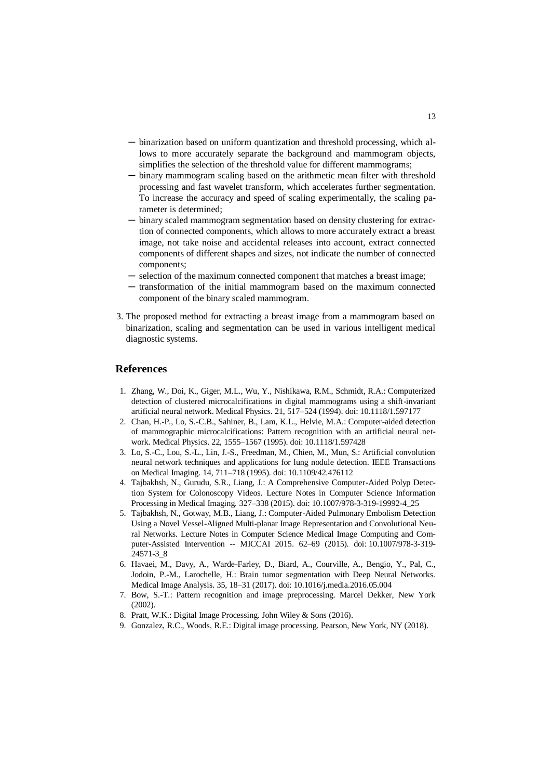- ─ binarization based on uniform quantization and threshold processing, which allows to more accurately separate the background and mammogram objects, simplifies the selection of the threshold value for different mammograms;
- ─ binary mammogram scaling based on the arithmetic mean filter with threshold processing and fast wavelet transform, which accelerates further segmentation. To increase the accuracy and speed of scaling experimentally, the scaling parameter is determined;
- ─ binary scaled mammogram segmentation based on density clustering for extraction of connected components, which allows to more accurately extract a breast image, not take noise and accidental releases into account, extract connected components of different shapes and sizes, not indicate the number of connected components;
- ─ selection of the maximum connected component that matches a breast image;
- ─ transformation of the initial mammogram based on the maximum connected component of the binary scaled mammogram.
- 3. The proposed method for extracting a breast image from a mammogram based on binarization, scaling and segmentation can be used in various intelligent medical diagnostic systems.

#### **References**

- 1. Zhang, W., Doi, K., Giger, M.L., Wu, Y., Nishikawa, R.M., Schmidt, R.A.: Computerized detection of clustered microcalcifications in digital mammograms using a shift-invariant artificial neural network. Medical Physics. 21, 517–524 (1994). doi: 10.1118/1.597177
- 2. Chan, H.-P., Lo, S.-C.B., Sahiner, B., Lam, K.L., Helvie, M.A.: Computer-aided detection of mammographic microcalcifications: Pattern recognition with an artificial neural network. Medical Physics. 22, 1555–1567 (1995). doi: [10.1118/1.597428](https://doi.org/10.1118/1.597428)
- 3. Lo, S.-C., Lou, S.-L., Lin, J.-S., Freedman, M., Chien, M., Mun, S.: Artificial convolution neural network techniques and applications for lung nodule detection. IEEE Transactions on Medical Imaging. 14, 711–718 (1995). doi[: 10.1109/42.476112](https://doi.org/10.1109/42.476112)
- 4. Tajbakhsh, N., Gurudu, S.R., Liang, J.: A Comprehensive Computer-Aided Polyp Detection System for Colonoscopy Videos. Lecture Notes in Computer Science Information Processing in Medical Imaging. 327–338 (2015). doi: 10.1007/978-3-319-19992-4\_25
- 5. Tajbakhsh, N., Gotway, M.B., Liang, J.: Computer-Aided Pulmonary Embolism Detection Using a Novel Vessel-Aligned Multi-planar Image Representation and Convolutional Neural Networks. Lecture Notes in Computer Science Medical Image Computing and Computer-Assisted Intervention -- MICCAI 2015. 62–69 (2015). doi: 10.1007/978-3-319- 24571-3\_8
- 6. Havaei, M., Davy, A., Warde-Farley, D., Biard, A., Courville, A., Bengio, Y., Pal, C., Jodoin, P.-M., Larochelle, H.: Brain tumor segmentation with Deep Neural Networks. Medical Image Analysis. 35, 18–31 (2017). doi: [10.1016/j.media.2016.05.004](https://doi.org/10.1016/j.media.2016.05.004)
- 7. Bow, S.-T.: Pattern recognition and image preprocessing. Marcel Dekker, New York (2002).
- 8. Pratt, W.K.: Digital Image Processing. John Wiley & Sons (2016).
- 9. Gonzalez, R.C., Woods, R.E.: Digital image processing. Pearson, New York, NY (2018).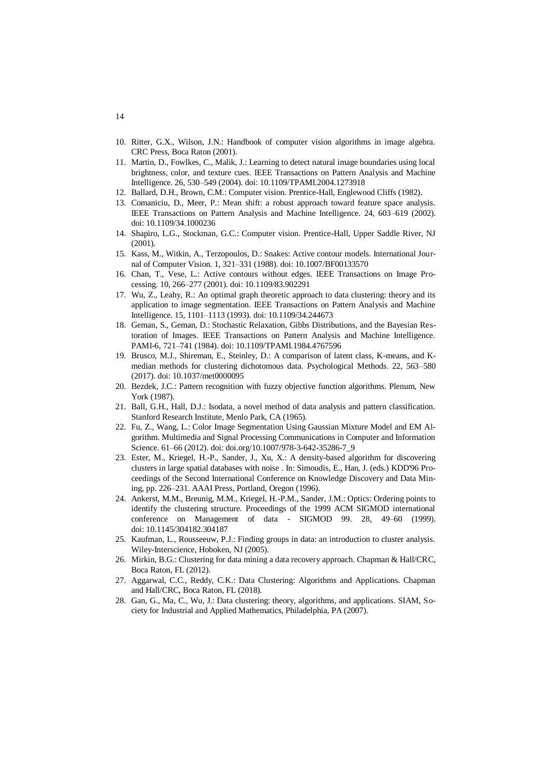- 10. Ritter, G.X., Wilson, J.N.: Handbook of computer vision algorithms in image algebra. CRC Press, Boca Raton (2001).
- 11. Martin, D., Fowlkes, C., Malik, J.: Learning to detect natural image boundaries using local brightness, color, and texture cues. IEEE Transactions on Pattern Analysis and Machine Intelligence. 26, 530–549 (2004). doi: [10.1109/TPAMI.2004.1273918](https://doi.org/10.1109/TPAMI.2004.1273918)
- 12. Ballard, D.H., Brown, C.M.: Computer vision. Prentice-Hall, Englewood Cliffs (1982).
- 13. Comaniciu, D., Meer, P.: Mean shift: a robust approach toward feature space analysis. IEEE Transactions on Pattern Analysis and Machine Intelligence. 24, 603–619 (2002). doi: [10.1109/34.1000236](https://doi.org/10.1109/34.1000236)
- 14. Shapiro, L.G., Stockman, G.C.: Computer vision. Prentice-Hall, Upper Saddle River, NJ (2001).
- 15. Kass, M., Witkin, A., Terzopoulos, D.: Snakes: Active contour models. International Journal of Computer Vision. 1, 321–331 (1988). doi: 10.1007/BF00133570
- 16. Chan, T., Vese, L.: Active contours without edges. IEEE Transactions on Image Processing. 10, 266–277 (2001). doi: [10.1109/83.902291](https://doi.org/10.1109/83.902291)
- 17. Wu, Z., Leahy, R.: An optimal graph theoretic approach to data clustering: theory and its application to image segmentation. IEEE Transactions on Pattern Analysis and Machine Intelligence. 15, 1101–1113 (1993). doi: [10.1109/34.244673](https://doi.org/10.1109/34.244673)
- 18. Geman, S., Geman, D.: Stochastic Relaxation, Gibbs Distributions, and the Bayesian Restoration of Images. IEEE Transactions on Pattern Analysis and Machine Intelligence. PAMI-6, 721–741 (1984). doi: [10.1109/TPAMI.1984.4767596](https://doi.org/10.1109/TPAMI.1984.4767596)
- 19. Brusco, M.J., Shireman, E., Steinley, D.: A comparison of latent class, K-means, and Kmedian methods for clustering dichotomous data. Psychological Methods. 22, 563–580 (2017). doi: 10.1037/met0000095
- 20. Bezdek, J.C.: Pattern recognition with fuzzy objective function algorithms. Plenum, New York (1987).
- 21. Ball, G.H., Hall, D.J.: Isodata, a novel method of data analysis and pattern classification. Stanford Research Institute, Menlo Park, CA (1965).
- 22. Fu, Z., Wang, L.: Color Image Segmentation Using Gaussian Mixture Model and EM Algorithm. Multimedia and Signal Processing Communications in Computer and Information Science. 61–66 (2012). doi: doi.org/10.1007/978-3-642-35286-7\_9
- 23. Ester, M., Kriegel, H.-P., Sander, J., Xu, X.: A density-based algorithm for discovering clusters in large spatial databases with noise . In: Simoudis, E., Han, J. (eds.) KDD'96 Proceedings of the Second International Conference on Knowledge Discovery and Data Mining, pp. 226–231. AAAI Press, Portland, Oregon (1996).
- 24. Ankerst, M.M., Breunig, M.M., Kriegel, H.-P.M., Sander, J.M.: Optics: Ordering points to identify the clustering structure. Proceedings of the 1999 ACM SIGMOD international conference on Management of data - SIGMOD 99. 28, 49–60 (1999). doi: 10.1145/304182.304187
- 25. Kaufman, L., Rousseeuw, P.J.: Finding groups in data: an introduction to cluster analysis. Wiley-Interscience, Hoboken, NJ (2005).
- 26. Mirkin, B.G.: Clustering for data mining a data recovery approach. Chapman & Hall/CRC, Boca Raton, FL (2012).
- 27. Aggarwal, C.C., Reddy, C.K.: Data Clustering: Algorithms and Applications. Chapman and Hall/CRC, Boca Raton, FL (2018).
- 28. Gan, G., Ma, C., Wu, J.: Data clustering: theory, algorithms, and applications. SIAM, Society for Industrial and Applied Mathematics, Philadelphia, PA (2007).